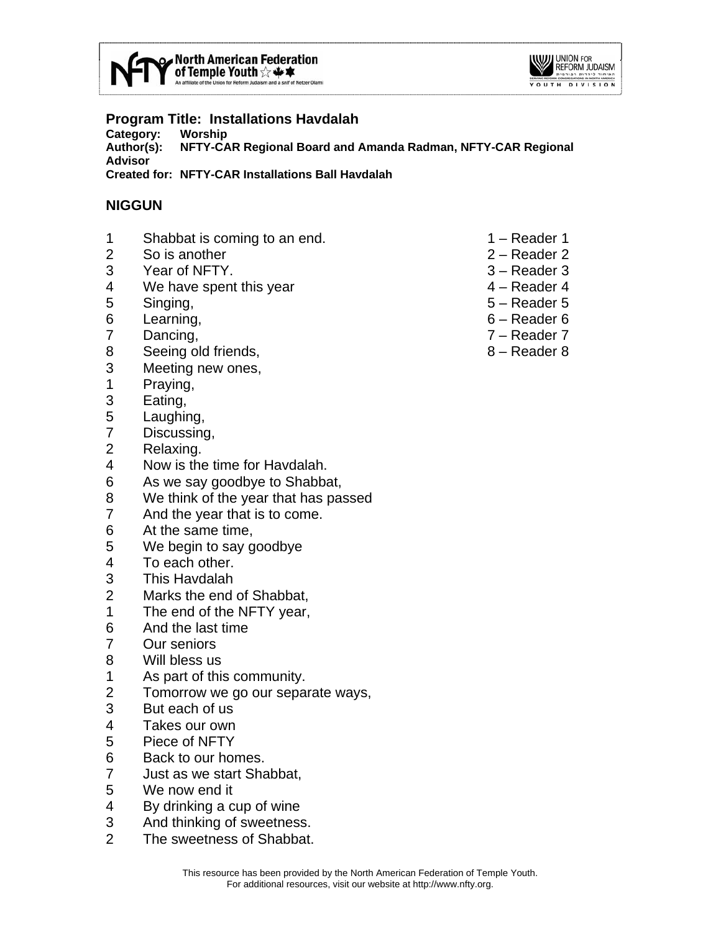



# **Program Title: Installations Havdalah**

**Category: Worship** 

**Author(s): NFTY-CAR Regional Board and Amanda Radman, NFTY-CAR Regional Advisor Created for: NFTY-CAR Installations Ball Havdalah** 

#### **NIGGUN**

- 1 Shabbat is coming to an end. 1 Reader 1
- 2 So is another 2 Reader 2
- 3 Year of NFTY. 3 Reader 3
- 4 We have spent this year 4 Reader 4
- 5 Singing, 5 Reader 5
- 6 Learning, 6 Reader 6
- 7 Dancing, 7 Reader 7
- 8 Seeing old friends, 8 Reader 8
- 3 Meeting new ones,
- 1 Praying,
- 3 Eating,
- 5 Laughing,
- 7 Discussing,
- 2 Relaxing.
- 4 Now is the time for Havdalah.
- 6 As we say goodbye to Shabbat,
- 8 We think of the year that has passed
- 7 And the year that is to come.
- 6 At the same time,
- 5 We begin to say goodbye
- 4 To each other.
- 3 This Havdalah
- 2 Marks the end of Shabbat,
- 1 The end of the NFTY year,
- 6 And the last time
- 7 Our seniors
- 8 Will bless us
- 1 As part of this community.
- 2 Tomorrow we go our separate ways,
- 3 But each of us
- 4 Takes our own
- 5 Piece of NFTY
- 6 Back to our homes.
- 7 Just as we start Shabbat,
- 5 We now end it
- 4 By drinking a cup of wine
- 3 And thinking of sweetness.
- 2 The sweetness of Shabbat.
- 
- 
- 
- 
- 
- 
- 
-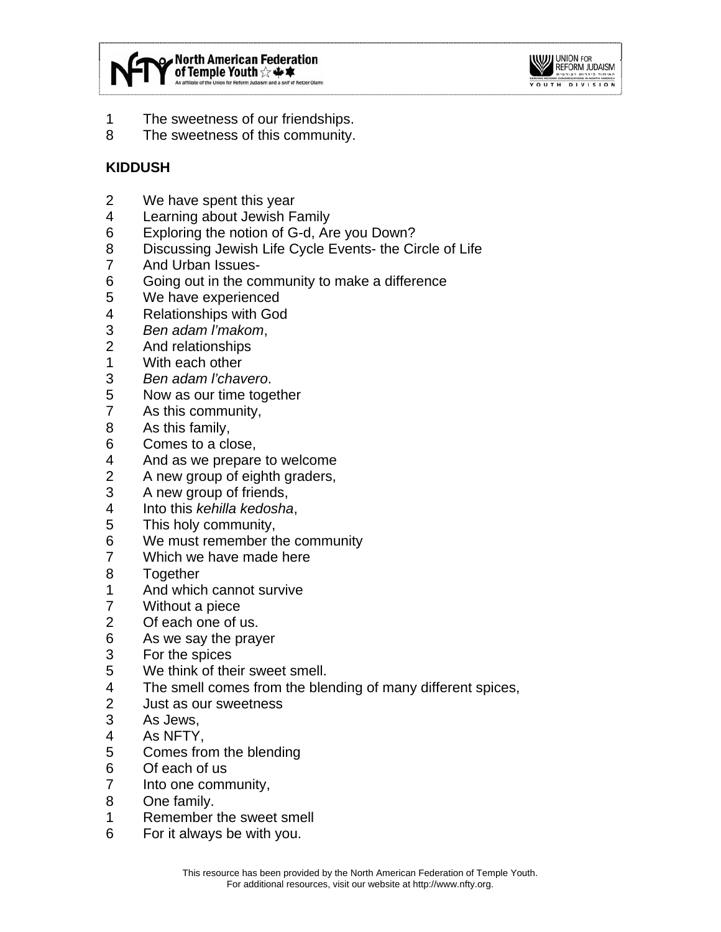



- 1 The sweetness of our friendships.
- 8 The sweetness of this community.

# **KIDDUSH**

- 2 We have spent this year
- 4 Learning about Jewish Family
- 6 Exploring the notion of G-d, Are you Down?
- 8 Discussing Jewish Life Cycle Events- the Circle of Life
- 7 And Urban Issues-
- 6 Going out in the community to make a difference
- 5 We have experienced
- 4 Relationships with God
- 3 *Ben adam l'makom*,
- 2 And relationships
- 1 With each other
- 3 *Ben adam l'chavero*.
- 5 Now as our time together
- 7 As this community,
- 8 As this family,
- 6 Comes to a close,
- 4 And as we prepare to welcome
- 2 A new group of eighth graders,
- 3 A new group of friends,
- 4 Into this *kehilla kedosha*,
- 5 This holy community,
- 6 We must remember the community
- 7 Which we have made here
- 8 Together
- 1 And which cannot survive
- 7 Without a piece
- 2 Of each one of us.
- 6 As we say the prayer
- 3 For the spices
- 5 We think of their sweet smell.
- 4 The smell comes from the blending of many different spices,
- 2 Just as our sweetness
- 3 As Jews,
- 4 As NFTY,
- 5 Comes from the blending
- 6 Of each of us
- 7 Into one community,
- 8 One family.
- 1 Remember the sweet smell
- 6 For it always be with you.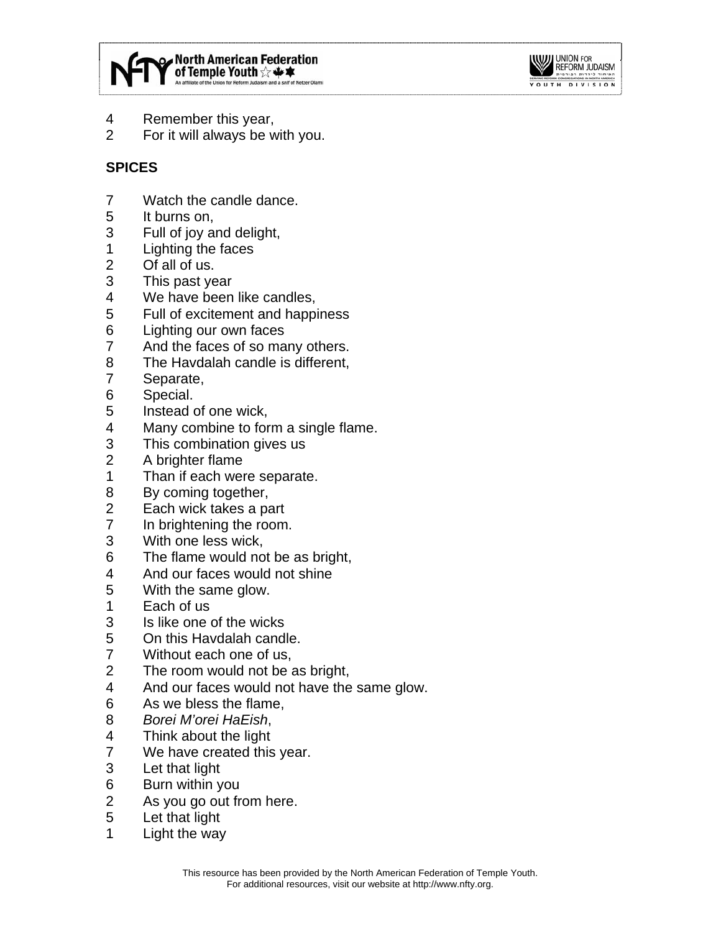



- 4 Remember this year,
- 2 For it will always be with you.

# **SPICES**

- 7 Watch the candle dance.
- 5 It burns on,
- 3 Full of joy and delight,
- 1 Lighting the faces
- 2 Of all of us.
- 3 This past year
- 4 We have been like candles,
- 5 Full of excitement and happiness
- 6 Lighting our own faces
- 7 And the faces of so many others.
- 8 The Havdalah candle is different,
- 7 Separate,
- 6 Special.
- 5 Instead of one wick,
- 4 Many combine to form a single flame.
- 3 This combination gives us
- 2 A brighter flame
- 1 Than if each were separate.
- 8 By coming together,
- 2 Each wick takes a part
- 7 In brightening the room.
- 3 With one less wick,
- 6 The flame would not be as bright,
- 4 And our faces would not shine
- 5 With the same glow.
- 1 Each of us
- 3 Is like one of the wicks
- 5 On this Havdalah candle.
- 7 Without each one of us,
- 2 The room would not be as bright,
- 4 And our faces would not have the same glow.
- 6 As we bless the flame,
- 8 *Borei M'orei HaEish*,
- 4 Think about the light
- 7 We have created this year.
- 3 Let that light
- 6 Burn within you
- 2 As you go out from here.
- 5 Let that light
- 1 Light the way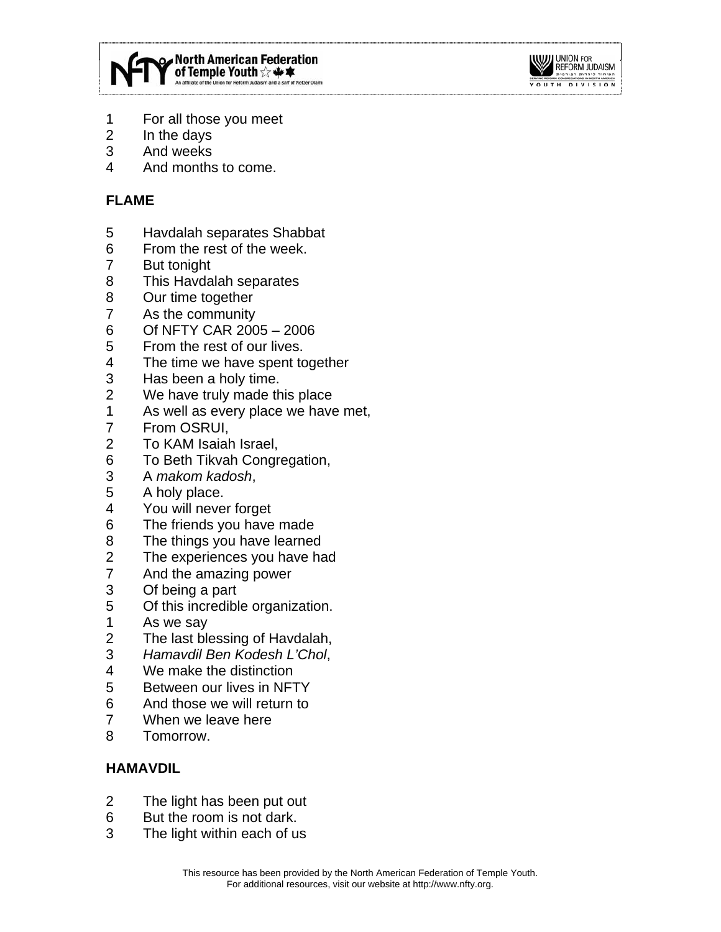



- 1 For all those you meet
- 2 In the days
- 3 And weeks
- 4 And months to come.

## **FLAME**

- 5 Havdalah separates Shabbat
- 6 From the rest of the week.
- 7 But tonight
- 8 This Havdalah separates
- 8 Our time together
- 7 As the community
- 6 Of NFTY CAR 2005 2006
- 5 From the rest of our lives.
- 4 The time we have spent together
- 3 Has been a holy time.
- 2 We have truly made this place
- 1 As well as every place we have met,
- 7 From OSRUI,
- 2 To KAM Isaiah Israel,
- 6 To Beth Tikvah Congregation,
- 3 A *makom kadosh*,
- 5 A holy place.
- 4 You will never forget
- 6 The friends you have made
- 8 The things you have learned
- 2 The experiences you have had
- 7 And the amazing power
- 3 Of being a part
- 5 Of this incredible organization.
- 1 As we say
- 2 The last blessing of Havdalah,
- 3 *Hamavdil Ben Kodesh L'Chol*,
- 4 We make the distinction
- 5 Between our lives in NFTY
- 6 And those we will return to
- 7 When we leave here
- 8 Tomorrow.

### **HAMAVDIL**

- 2 The light has been put out
- 6 But the room is not dark.
- 3 The light within each of us